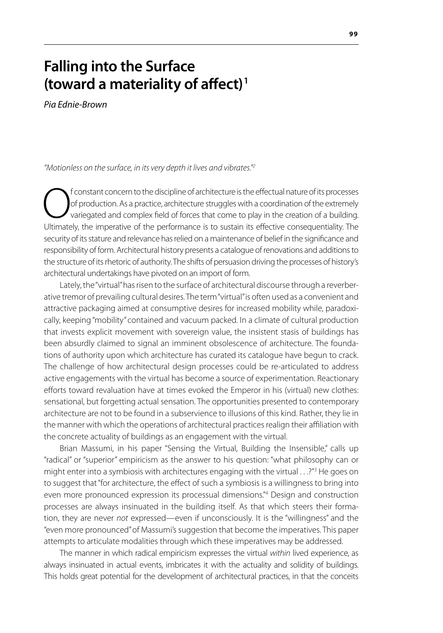# **Falling into the Surface (toward a materiality of affect) 1**

*Pia Ednie-Brown*

*"Motionless on the surface, in its very depth it lives and vibrates."2*

**Constant concern to the discipline of architecture is the effectual nature of its processes**<br>of production. As a practice, architecture struggles with a coordination of the extremely<br>variegated and complex field of forces of production. As a practice, architecture struggles with a coordination of the extremely variegated and complex field of forces that come to play in the creation of a building. Ultimately, the imperative of the performance is to sustain its effective consequentiality. The security of its stature and relevance has relied on a maintenance of belief in the significance and responsibility of form. Architectural history presents a catalogue of renovations and additions to the structure of its rhetoric of authority. The shifts of persuasion driving the processes of history's architectural undertakings have pivoted on an import of form.

Lately, the "virtual" has risen to the surface of architectural discourse through a reverberative tremor of prevailing cultural desires. The term "virtual" is often used as a convenient and attractive packaging aimed at consumptive desires for increased mobility while, paradoxically, keeping "mobility" contained and vacuum packed. In a climate of cultural production that invests explicit movement with sovereign value, the insistent stasis of buildings has been absurdly claimed to signal an imminent obsolescence of architecture. The foundations of authority upon which architecture has curated its catalogue have begun to crack. The challenge of how architectural design processes could be re-articulated to address active engagements with the virtual has become a source of experimentation. Reactionary efforts toward revaluation have at times evoked the Emperor in his (virtual) new clothes: sensational, but forgetting actual sensation. The opportunities presented to contemporary architecture are not to be found in a subservience to illusions of this kind. Rather, they lie in the manner with which the operations of architectural practices realign their affiliation with the concrete actuality of buildings as an engagement with the virtual.

Brian Massumi, in his paper "Sensing the Virtual, Building the Insensible," calls up "radical" or "superior" empiricism as the answer to his question: "what philosophy can or might enter into a symbiosis with architectures engaging with the virtual . . .?"<sup>3</sup> He goes on to suggest that "for architecture, the effect of such a symbiosis is a willingness to bring into even more pronounced expression its processual dimensions."4 Design and construction processes are always insinuated in the building itself. As that which steers their formation, they are never *not* expressed—even if unconsciously. It is the "willingness" and the "even more pronounced" of Massumi's suggestion that become the imperatives. This paper attempts to articulate modalities through which these imperatives may be addressed.

The manner in which radical empiricism expresses the virtual *within* lived experience, as always insinuated in actual events, imbricates it with the actuality and solidity of buildings. This holds great potential for the development of architectural practices, in that the conceits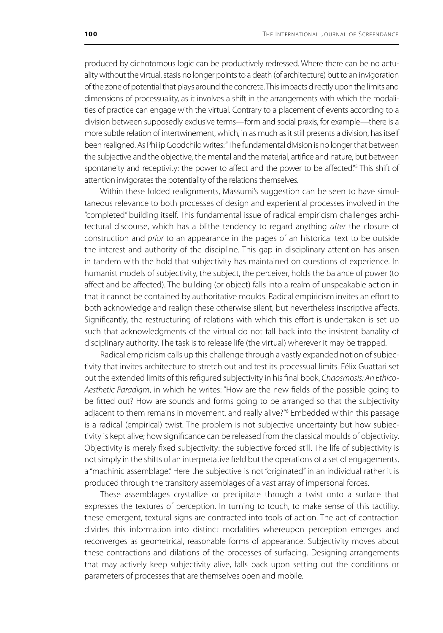produced by dichotomous logic can be productively redressed. Where there can be no actuality without the virtual, stasis no longer points to a death (of architecture) but to an invigoration of the zone of potential that plays around the concrete. This impacts directly upon the limits and dimensions of processuality, as it involves a shift in the arrangements with which the modalities of practice can engage with the virtual. Contrary to a placement of events according to a division between supposedly exclusive terms—form and social praxis, for example—there is a more subtle relation of intertwinement, which, in as much as it still presents a division, has itself been realigned. As Philip Goodchild writes: "The fundamental division is no longer that between the subjective and the objective, the mental and the material, artifice and nature, but between spontaneity and receptivity: the power to affect and the power to be affected."<sup>5</sup> This shift of attention invigorates the potentiality of the relations themselves.

Within these folded realignments, Massumi's suggestion can be seen to have simultaneous relevance to both processes of design and experiential processes involved in the "completed" building itself. This fundamental issue of radical empiricism challenges architectural discourse, which has a blithe tendency to regard anything *after* the closure of construction and *prior* to an appearance in the pages of an historical text to be outside the interest and authority of the discipline. This gap in disciplinary attention has arisen in tandem with the hold that subjectivity has maintained on questions of experience. In humanist models of subjectivity, the subject, the perceiver, holds the balance of power (to affect and be affected). The building (or object) falls into a realm of unspeakable action in that it cannot be contained by authoritative moulds. Radical empiricism invites an effort to both acknowledge and realign these otherwise silent, but nevertheless inscriptive affects. Significantly, the restructuring of relations with which this effort is undertaken is set up such that acknowledgments of the virtual do not fall back into the insistent banality of disciplinary authority. The task is to release life (the virtual) wherever it may be trapped.

Radical empiricism calls up this challenge through a vastly expanded notion of subjectivity that invites architecture to stretch out and test its processual limits. Félix Guattari set out the extended limits of this refigured subjectivity in his final book, *Chaosmosis: An Ethico-Aesthetic Paradigm*, in which he writes: "How are the new fields of the possible going to be fitted out? How are sounds and forms going to be arranged so that the subjectivity adjacent to them remains in movement, and really alive?"6 Embedded within this passage is a radical (empirical) twist. The problem is not subjective uncertainty but how subjectivity is kept alive; how significance can be released from the classical moulds of objectivity. Objectivity is merely fixed subjectivity: the subjective forced still. The life of subjectivity is not simply in the shifts of an interpretative field but the operations of a set of engagements, a "machinic assemblage." Here the subjective is not "originated" in an individual rather it is produced through the transitory assemblages of a vast array of impersonal forces.

These assemblages crystallize or precipitate through a twist onto a surface that expresses the textures of perception. In turning to touch, to make sense of this tactility, these emergent, textural signs are contracted into tools of action. The act of contraction divides this information into distinct modalities whereupon perception emerges and reconverges as geometrical, reasonable forms of appearance. Subjectivity moves about these contractions and dilations of the processes of surfacing. Designing arrangements that may actively keep subjectivity alive, falls back upon setting out the conditions or parameters of processes that are themselves open and mobile.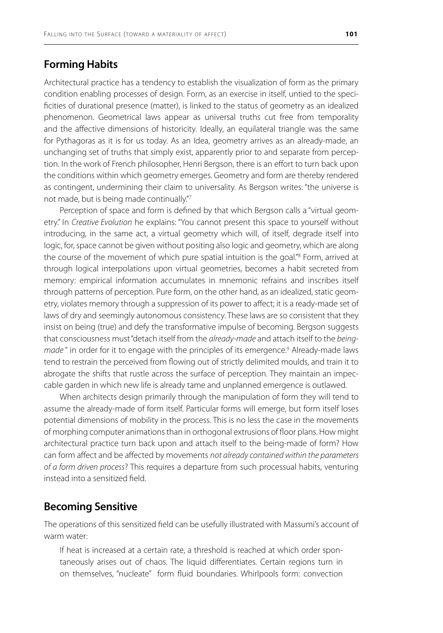#### **Forming Habits**

Architectural practice has a tendency to establish the visualization of form as the primary condition enabling processes of design. Form, as an exercise in itself, untied to the specificities of durational presence (matter), is linked to the status of geometry as an idealized phenomenon. Geometrical laws appear as universal truths cut free from temporality and the affective dimensions of historicity. Ideally, an equilateral triangle was the same for Pythagoras as it is for us today. As an Idea, geometry arrives as an already-made, an unchanging set of truths that simply exist, apparently prior to and separate from perception. In the work of French philosopher, Henri Bergson, there is an effort to turn back upon the conditions within which geometry emerges. Geometry and form are thereby rendered as contingent, undermining their claim to universality. As Bergson writes: "the universe is not made, but is being made continually."7

Perception of space and form is defined by that which Bergson calls a "virtual geometry." In *Creative Evolution* he explains: "You cannot present this space to yourself without introducing, in the same act, a virtual geometry which will, of itself, degrade itself into logic, for, space cannot be given without positing also logic and geometry, which are along the course of the movement of which pure spatial intuition is the goal."<sup>8</sup> Form, arrived at through logical interpolations upon virtual geometries, becomes a habit secreted from memory: empirical information accumulates in mnemonic refrains and inscribes itself through patterns of perception. Pure form, on the other hand, as an idealized, static geometry, violates memory through a suppression of its power to affect; it is a ready-made set of laws of dry and seemingly autonomous consistency. These laws are so consistent that they insist on being (true) and defy the transformative impulse of becoming. Bergson suggests that consciousness must "detach itself from the *already-made* and attach itself to the *being*made " in order for it to engage with the principles of its emergence.<sup>9</sup> Already-made laws tend to restrain the perceived from flowing out of strictly delimited moulds, and train it to abrogate the shifts that rustle across the surface of perception. They maintain an impeccable garden in which new life is already tame and unplanned emergence is outlawed.

When architects design primarily through the manipulation of form they will tend to assume the already-made of form itself. Particular forms will emerge, but form itself loses potential dimensions of mobility in the process. This is no less the case in the movements of morphing computer animations than in orthogonal extrusions of floor plans. How might architectural practice turn back upon and attach itself to the being-made of form? How can form affect and be affected by movements *not already contained within the parameters of a form driven process*? This requires a departure from such processual habits, venturing instead into a sensitized field.

#### **Becoming Sensitive**

The operations of this sensitized field can be usefully illustrated with Massumi's account of warm water:

If heat is increased at a certain rate, a threshold is reached at which order spontaneously arises out of chaos. The liquid differentiates. Certain regions turn in on themselves, "nucleate" form fluid boundaries. Whirlpools form: convection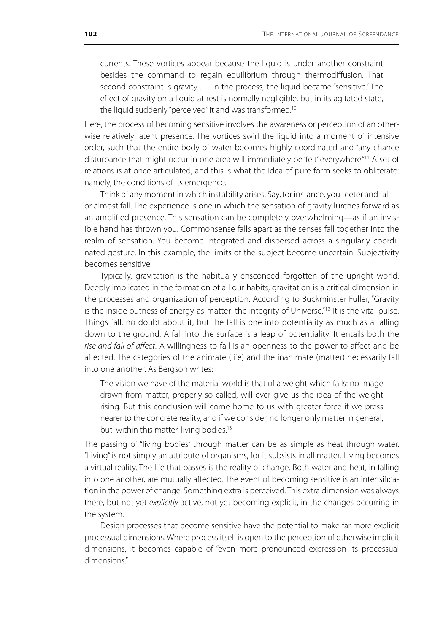currents. These vortices appear because the liquid is under another constraint besides the command to regain equilibrium through thermodiffusion. That second constraint is gravity . . . In the process, the liquid became "sensitive." The effect of gravity on a liquid at rest is normally negligible, but in its agitated state, the liquid suddenly "perceived" it and was transformed.<sup>10</sup>

Here, the process of becoming sensitive involves the awareness or perception of an otherwise relatively latent presence. The vortices swirl the liquid into a moment of intensive order, such that the entire body of water becomes highly coordinated and "any chance disturbance that might occur in one area will immediately be 'felt' everywhere."<sup>11</sup> A set of relations is at once articulated, and this is what the Idea of pure form seeks to obliterate: namely, the conditions of its emergence.

Think of any moment in which instability arises. Say, for instance, you teeter and fall or almost fall. The experience is one in which the sensation of gravity lurches forward as an amplified presence. This sensation can be completely overwhelming—as if an invisible hand has thrown you. Commonsense falls apart as the senses fall together into the realm of sensation. You become integrated and dispersed across a singularly coordinated gesture. In this example, the limits of the subject become uncertain. Subjectivity becomes sensitive.

Typically, gravitation is the habitually ensconced forgotten of the upright world. Deeply implicated in the formation of all our habits, gravitation is a critical dimension in the processes and organization of perception. According to Buckminster Fuller, "Gravity is the inside outness of energy-as-matter: the integrity of Universe."<sup>12</sup> It is the vital pulse. Things fall, no doubt about it, but the fall is one into potentiality as much as a falling down to the ground. A fall into the surface is a leap of potentiality. It entails both the *rise and fall of affect*. A willingness to fall is an openness to the power to affect and be affected. The categories of the animate (life) and the inanimate (matter) necessarily fall into one another. As Bergson writes:

The vision we have of the material world is that of a weight which falls: no image drawn from matter, properly so called, will ever give us the idea of the weight rising. But this conclusion will come home to us with greater force if we press nearer to the concrete reality, and if we consider, no longer only matter in general, but, within this matter, living bodies.<sup>13</sup>

The passing of "living bodies" through matter can be as simple as heat through water. "Living" is not simply an attribute of organisms, for it subsists in all matter. Living becomes a virtual reality. The life that passes is the reality of change. Both water and heat, in falling into one another, are mutually affected. The event of becoming sensitive is an intensification in the power of change. Something extra is perceived. This extra dimension was always there, but not yet *explicitly* active, not yet becoming explicit, in the changes occurring in the system.

Design processes that become sensitive have the potential to make far more explicit processual dimensions. Where process itself is open to the perception of otherwise implicit dimensions, it becomes capable of "even more pronounced expression its processual dimensions."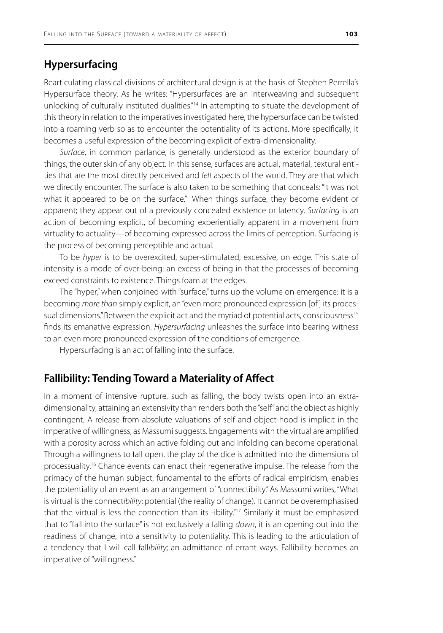## **Hypersurfacing**

Rearticulating classical divisions of architectural design is at the basis of Stephen Perrella's Hypersurface theory. As he writes: "Hypersurfaces are an interweaving and subsequent unlocking of culturally instituted dualities."<sup>14</sup> In attempting to situate the development of this theory in relation to the imperatives investigated here, the hypersurface can be twisted into a roaming verb so as to encounter the potentiality of its actions. More specifically, it becomes a useful expression of the becoming explicit of extra-dimensionality.

*Surface*, in common parlance, is generally understood as the exterior boundary of things, the outer skin of any object. In this sense, surfaces are actual, material, textural entities that are the most directly perceived and *felt* aspects of the world. They are that which we directly encounter. The surface is also taken to be something that conceals: "it was not what it appeared to be on the surface." When things surface, they become evident or apparent; they appear out of a previously concealed existence or latency. *Surfacing* is an action of becoming explicit, of becoming experientially apparent in a movement from virtuality to actuality—of becoming expressed across the limits of perception. Surfacing is the process of becoming perceptible and actual.

To be *hyper* is to be overexcited, super-stimulated, excessive, on edge. This state of intensity is a mode of over-being: an excess of being in that the processes of becoming exceed constraints to existence. Things foam at the edges.

The "hyper," when conjoined with "surface," turns up the volume on emergence: it is a becoming *more than* simply explicit, an "even more pronounced expression [of ] its processual dimensions." Between the explicit act and the myriad of potential acts, consciousness<sup>15</sup> finds its emanative expression. *Hypersurfacing* unleashes the surface into bearing witness to an even more pronounced expression of the conditions of emergence.

Hypersurfacing is an act of falling into the surface.

## **Fallibility: Tending Toward a Materiality of Affect**

In a moment of intensive rupture, such as falling, the body twists open into an extradimensionality, attaining an extensivity than renders both the "self" and the object as highly contingent. A release from absolute valuations of self and object-hood is implicit in the imperative of willingness, as Massumi suggests. Engagements with the virtual are amplified with a porosity across which an active folding out and infolding can become operational. Through a willingness to fall open, the play of the dice is admitted into the dimensions of processuality.<sup>16</sup> Chance events can enact their regenerative impulse. The release from the primacy of the human subject, fundamental to the efforts of radical empiricism, enables the potentiality of an event as an arrangement of "connectibilty." As Massumi writes, "What is virtual is the connect*ibility*: potential (the reality of change). It cannot be overemphasised that the virtual is less the connection than its -ibility."17 Similarly it must be emphasized that to "fall into the surface" is not exclusively a falling *down*, it is an opening out into the readiness of change, into a sensitivity to potentiality. This is leading to the articulation of a tendency that I will call fall*ibility*; an admittance of errant ways. Fallibility becomes an imperative of "willingness."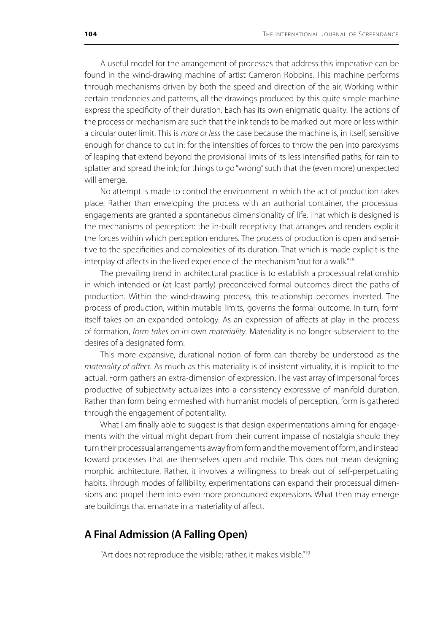A useful model for the arrangement of processes that address this imperative can be found in the wind-drawing machine of artist Cameron Robbins. This machine performs through mechanisms driven by both the speed and direction of the air. Working within certain tendencies and patterns, all the drawings produced by this quite simple machine express the specificity of their duration. Each has its own enigmatic quality. The actions of the process or mechanism are such that the ink tends to be marked out more or less within a circular outer limit. This is *more or less* the case because the machine is, in itself, sensitive enough for chance to cut in: for the intensities of forces to throw the pen into paroxysms of leaping that extend beyond the provisional limits of its less intensified paths; for rain to splatter and spread the ink; for things to go "wrong" such that the (even more) unexpected will emerge.

No attempt is made to control the environment in which the act of production takes place. Rather than enveloping the process with an authorial container, the processual engagements are granted a spontaneous dimensionality of life. That which is designed is the mechanisms of perception: the in-built receptivity that arranges and renders explicit the forces within which perception endures. The process of production is open and sensitive to the specificities and complexities of its duration. That which is made explicit is the interplay of affects in the lived experience of the mechanism "out for a walk."18

The prevailing trend in architectural practice is to establish a processual relationship in which intended or (at least partly) preconceived formal outcomes direct the paths of production. Within the wind-drawing process, this relationship becomes inverted. The process of production, within mutable limits, governs the formal outcome. In turn, form itself takes on an expanded ontology. As an expression of affects at play in the process of formation, *form takes on its* own *materiality*. Materiality is no longer subservient to the desires of a designated form.

This more expansive, durational notion of form can thereby be understood as the *materiality of affect.* As much as this materiality is of insistent virtuality, it is implicit to the actual. Form gathers an extra-dimension of expression. The vast array of impersonal forces productive of subjectivity actualizes into a consistency expressive of manifold duration. Rather than form being enmeshed with humanist models of perception, form is gathered through the engagement of potentiality.

What I am finally able to suggest is that design experimentations aiming for engagements with the virtual might depart from their current impasse of nostalgia should they turn their processual arrangements away from form and the movement of form, and instead toward processes that are themselves open and mobile. This does not mean designing morphic architecture. Rather, it involves a willingness to break out of self-perpetuating habits. Through modes of fallibility, experimentations can expand their processual dimensions and propel them into even more pronounced expressions. What then may emerge are buildings that emanate in a materiality of affect.

### **A Final Admission (A Falling Open)**

"Art does not reproduce the visible; rather, it makes visible."19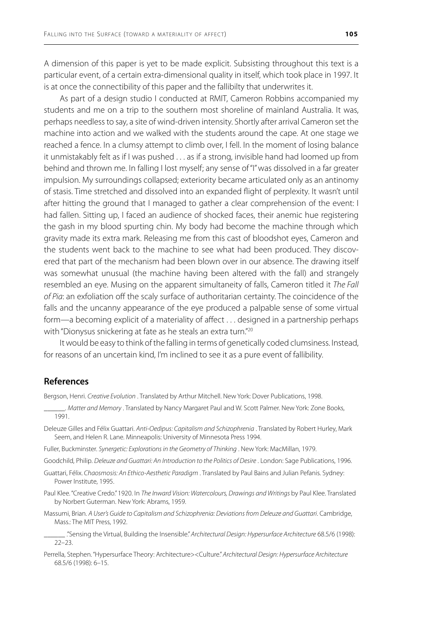A dimension of this paper is yet to be made explicit. Subsisting throughout this text is a particular event, of a certain extra-dimensional quality in itself, which took place in 1997. It is at once the connectibility of this paper and the fallibilty that underwrites it.

As part of a design studio I conducted at RMIT, Cameron Robbins accompanied my students and me on a trip to the southern most shoreline of mainland Australia. It was, perhaps needless to say, a site of wind-driven intensity. Shortly after arrival Cameron set the machine into action and we walked with the students around the cape. At one stage we reached a fence. In a clumsy attempt to climb over, I fell. In the moment of losing balance it unmistakably felt as if I was pushed . . . as if a strong, invisible hand had loomed up from behind and thrown me. In falling I lost myself; any sense of "I" was dissolved in a far greater impulsion. My surroundings collapsed; exteriority became articulated only as an antinomy of stasis. Time stretched and dissolved into an expanded flight of perplexity. It wasn't until after hitting the ground that I managed to gather a clear comprehension of the event: I had fallen. Sitting up, I faced an audience of shocked faces, their anemic hue registering the gash in my blood spurting chin. My body had become the machine through which gravity made its extra mark. Releasing me from this cast of bloodshot eyes, Cameron and the students went back to the machine to see what had been produced. They discovered that part of the mechanism had been blown over in our absence. The drawing itself was somewhat unusual (the machine having been altered with the fall) and strangely resembled an eye. Musing on the apparent simultaneity of falls, Cameron titled it *The Fall of Pia*: an exfoliation off the scaly surface of authoritarian certainty. The coincidence of the falls and the uncanny appearance of the eye produced a palpable sense of some virtual form—a becoming explicit of a materiality of affect . . . designed in a partnership perhaps with "Dionysus snickering at fate as he steals an extra turn."<sup>20</sup>

It would be easy to think of the falling in terms of genetically coded clumsiness. Instead, for reasons of an uncertain kind, I'm inclined to see it as a pure event of fallibility.

#### **References**

Bergson, Henri. *Creative Evolution* . Translated by Arthur Mitchell. New York: Dover Publications, 1998.

- \_\_\_\_\_\_. *Matter and Memory* . Translated by Nancy Margaret Paul and W. Scott Palmer. New York: Zone Books, 1991.
- Deleuze Gilles and Félix Guattari. *Anti-Oedipus: Capitalism and Schizophrenia* . Translated by Robert Hurley, Mark Seem, and Helen R. Lane. Minneapolis: University of Minnesota Press 1994.
- Fuller, Buckminster. *Synergetic: Explorations in the Geometry of Thinking* . New York: MacMillan, 1979.
- Goodchild, Philip. *Deleuze and Guattari: An Introduction to the Politics of Desire* . London: Sage Publications, 1996.
- Guattari, Félix. *Chaosmosis: An Ethico-Aesthetic Paradigm* . Translated by Paul Bains and Julian Pefanis. Sydney: Power Institute, 1995.
- Paul Klee. "Creative Credo." 1920. In *The Inward Vision: Watercolours, Drawings and Writings* by Paul Klee. Translated by Norbert Guterman. New York: Abrams, 1959.
- Massumi, Brian. *A User's Guide to Capitalism and Schizophrenia: Deviations from Deleuze and Guattari*. Cambridge, Mass.: The MIT Press, 1992.
- \_\_\_\_\_\_ ."Sensing the Virtual, Building the Insensible." *Architectural Design: Hypersurface Architecture* 68.5/6 (1998): 22–23.
- Perrella, Stephen. "Hypersurface Theory: Architecture><Culture." *Architectural Design: Hypersurface Architecture* 68.5/6 (1998): 6–15.